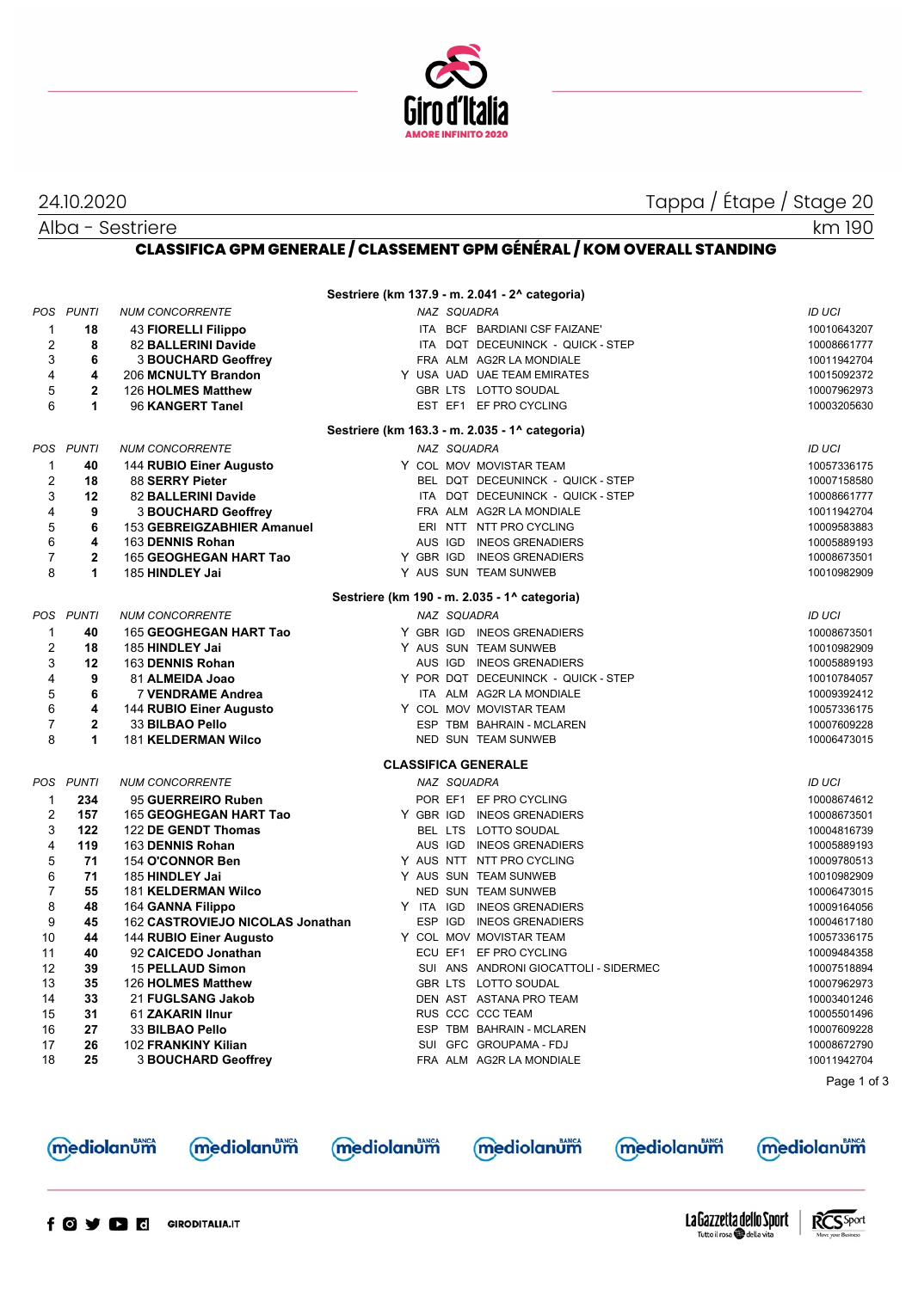

24.10.2020 Tappa / Étape / Stage 20

km 190

Alba - Sestriere

**CLASSIFICA GPM GENERALE / CLASSEMENT GPM GÉNÉRAL / KOM OVERALL STANDING**

|                |                |                                  |           |             | Sestriere (km 137.9 - m. 2.041 - 2^ categoria) |               |
|----------------|----------------|----------------------------------|-----------|-------------|------------------------------------------------|---------------|
| POS            | <b>PUNTI</b>   | <b>NUM CONCORRENTE</b>           |           | NAZ SQUADRA |                                                | <b>ID UCI</b> |
| $\mathbf{1}$   | 18             | 43 FIORELLI Filippo              |           |             | ITA BCF BARDIANI CSF FAIZANE'                  | 10010643207   |
| 2              | 8              | 82 BALLERINI Davide              |           |             | ITA DQT DECEUNINCK - QUICK - STEP              | 10008661777   |
| 3              | 6              | <b>3 BOUCHARD Geoffrey</b>       |           |             | FRA ALM AG2R LA MONDIALE                       | 10011942704   |
| 4              | 4              | 206 MCNULTY Brandon              |           |             | Y USA UAD UAE TEAM EMIRATES                    | 10015092372   |
| 5              | $\overline{2}$ | 126 HOLMES Matthew               |           |             | GBR LTS LOTTO SOUDAL                           | 10007962973   |
| 6              | 1              | 96 KANGERT Tanel                 |           |             | EST EF1 EF PRO CYCLING                         | 10003205630   |
|                |                |                                  |           |             | Sestriere (km 163.3 - m. 2.035 - 1^ categoria) |               |
|                | POS PUNTI      | <b>NUM CONCORRENTE</b>           |           | NAZ SQUADRA |                                                | <b>ID UCI</b> |
| $\mathbf 1$    | 40             | 144 RUBIO Einer Augusto          |           |             | Y COL MOV MOVISTAR TEAM                        | 10057336175   |
| $\overline{2}$ | 18             | 88 SERRY Pieter                  |           |             | BEL DQT DECEUNINCK - QUICK - STEP              | 10007158580   |
| 3              | 12             | 82 BALLERINI Davide              |           |             | ITA DQT DECEUNINCK - QUICK - STEP              | 10008661777   |
| 4              | 9              | <b>3 BOUCHARD Geoffrey</b>       |           |             | FRA ALM AG2R LA MONDIALE                       | 10011942704   |
| 5              | 6              | 153 GEBREIGZABHIER Amanuel       |           |             | ERI NTT NTT PRO CYCLING                        | 10009583883   |
| 6              | 4              | 163 DENNIS Rohan                 |           |             | AUS IGD INEOS GRENADIERS                       | 10005889193   |
| $\overline{7}$ | $\mathbf{2}$   | 165 GEOGHEGAN HART Tao           | Y GBR IGD |             | <b>INEOS GRENADIERS</b>                        | 10008673501   |
| 8              | 1              | 185 HINDLEY Jai                  |           |             | Y AUS SUN TEAM SUNWEB                          | 10010982909   |
|                |                |                                  |           |             | Sestriere (km 190 - m. 2.035 - 1^ categoria)   |               |
|                | POS PUNTI      | <b>NUM CONCORRENTE</b>           |           | NAZ SQUADRA |                                                | <b>ID UCI</b> |
| $\mathbf 1$    | 40             | 165 GEOGHEGAN HART Tao           |           |             | Y GBR IGD INEOS GRENADIERS                     | 10008673501   |
| $\overline{c}$ | 18             | 185 HINDLEY Jai                  |           |             | Y AUS SUN TEAM SUNWEB                          | 10010982909   |
| 3              | 12             | 163 DENNIS Rohan                 |           |             | AUS IGD INEOS GRENADIERS                       | 10005889193   |
| 4              | 9              | 81 ALMEIDA Joao                  |           |             | Y POR DQT DECEUNINCK - QUICK - STEP            | 10010784057   |
| 5              | 6              | 7 VENDRAME Andrea                |           |             | ITA ALM AG2R LA MONDIALE                       | 10009392412   |
| $\,6$          | 4              | 144 RUBIO Einer Augusto          |           |             | Y COL MOV MOVISTAR TEAM                        | 10057336175   |
| $\overline{7}$ | $\mathbf{2}$   | 33 BILBAO Pello                  |           |             | ESP TBM BAHRAIN - MCLAREN                      | 10007609228   |
| 8              | 1              | <b>181 KELDERMAN Wilco</b>       |           |             | NED SUN TEAM SUNWEB                            | 10006473015   |
|                |                |                                  |           |             | <b>CLASSIFICA GENERALE</b>                     |               |
|                | POS PUNTI      | <b>NUM CONCORRENTE</b>           |           | NAZ SQUADRA |                                                | <b>ID UCI</b> |
| 1              | 234            | 95 GUERREIRO Ruben               |           |             | POR EF1 EF PRO CYCLING                         | 10008674612   |
| $\overline{2}$ | 157            | 165 GEOGHEGAN HART Tao           | Y GBR IGD |             | <b>INEOS GRENADIERS</b>                        | 10008673501   |
| 3              | 122            | 122 DE GENDT Thomas              |           |             | BEL LTS LOTTO SOUDAL                           | 10004816739   |
| 4              | 119            | 163 DENNIS Rohan                 |           |             | AUS IGD INEOS GRENADIERS                       | 10005889193   |
| 5              | 71             | 154 O'CONNOR Ben                 |           |             | Y AUS NTT NTT PRO CYCLING                      | 10009780513   |
| 6              | 71             | 185 HINDLEY Jai                  |           |             | Y AUS SUN TEAM SUNWEB                          | 10010982909   |
| $\overline{7}$ | 55             | <b>181 KELDERMAN Wilco</b>       |           |             | NED SUN TEAM SUNWEB                            | 10006473015   |
| 8              | 48             | 164 GANNA Filippo                | Y ITA IGD |             | <b>INEOS GRENADIERS</b>                        | 10009164056   |
| 9              | 45             | 162 CASTROVIEJO NICOLAS Jonathan |           |             | ESP IGD INEOS GRENADIERS                       | 10004617180   |
| 10             | 44             | 144 RUBIO Einer Augusto          |           |             | Y COL MOV MOVISTAR TEAM                        | 10057336175   |
| 11             | 40             | 92 CAICEDO Jonathan              |           |             | ECU EF1 EF PRO CYCLING                         | 10009484358   |
| 12             | 39             | 15 PELLAUD Simon                 |           |             | SUI ANS ANDRONI GIOCATTOLI - SIDERMEC          | 10007518894   |
| 13             | 35             | 126 HOLMES Matthew               |           |             | GBR LTS LOTTO SOUDAL                           | 10007962973   |
| 14             | 33             | 21 FUGLSANG Jakob                |           |             | DEN AST ASTANA PRO TEAM                        | 10003401246   |
| 15             | 31             | 61 ZAKARIN IInur                 |           |             | RUS CCC CCC TEAM                               | 10005501496   |
| 16             | 27             | 33 BILBAO Pello                  |           |             | ESP TBM BAHRAIN - MCLAREN                      | 10007609228   |
| 17             | 26             | 102 FRANKINY Kilian              |           |             | SUI GFC GROUPAMA - FDJ                         | 10008672790   |
| 18             | 25             | <b>3 BOUCHARD Geoffrey</b>       |           |             | FRA ALM AG2R LA MONDIALE                       | 10011942704   |
|                |                |                                  |           |             |                                                |               |
|                |                |                                  |           |             |                                                | Page 1 of 3   |
|                |                |                                  |           |             |                                                |               |
|                |                |                                  |           |             |                                                |               |





**mediolanum** 

mediolanum





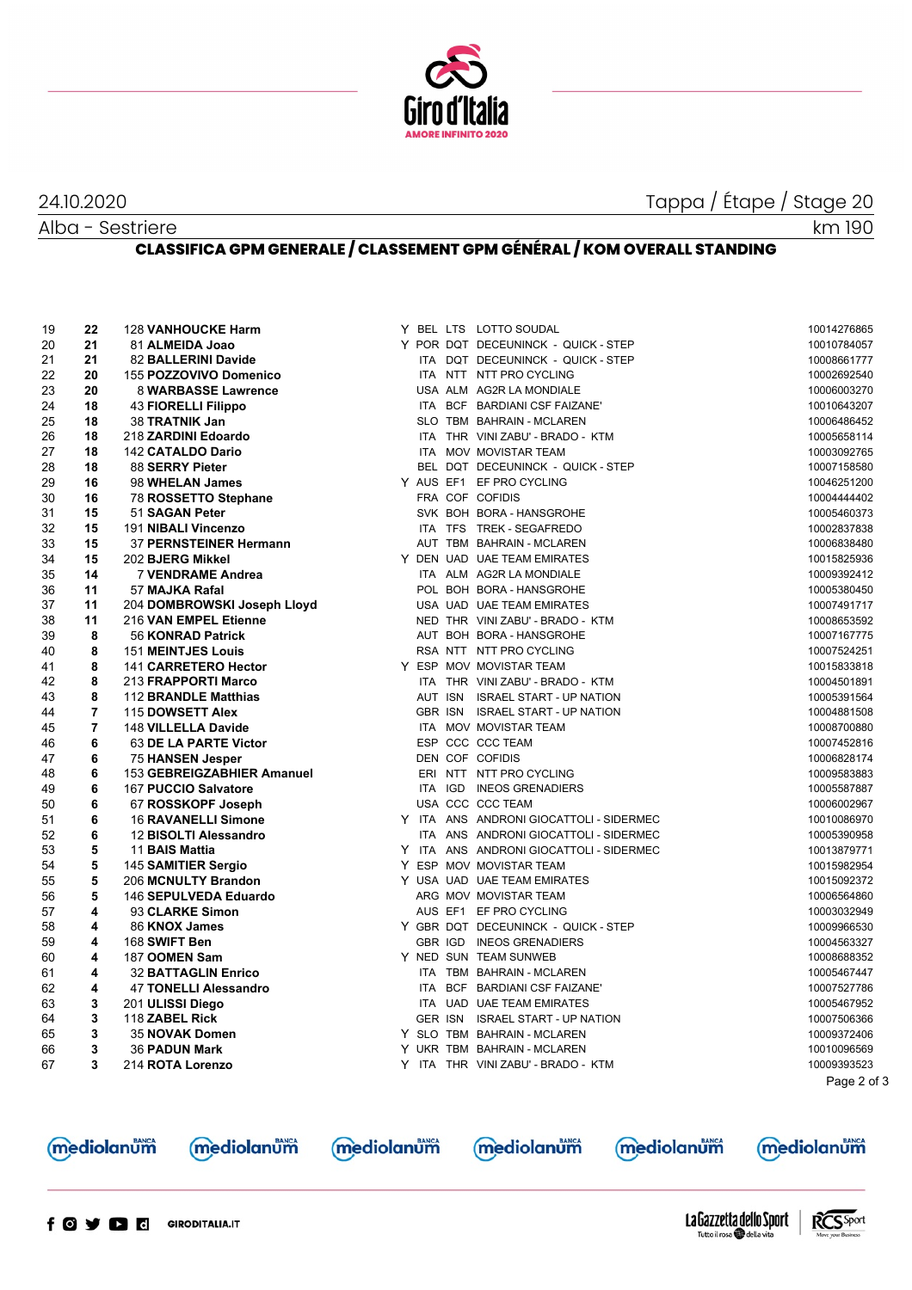

## 24.10.2020 Tappa / Étape / Stage 20

Alba - Sestriere

km 190

## **CLASSIFICA GPM GENERALE / CLASSEMENT GPM GÉNÉRAL / KOM OVERALL STANDING**

| 19 | 22                      | <b>128 VANHOUCKE Harm</b>   |  | Y BEL LTS LOTTO SOUDAL                  | 10014276865 |
|----|-------------------------|-----------------------------|--|-----------------------------------------|-------------|
| 20 | 21                      | 81 ALMEIDA Joao             |  | Y POR DQT DECEUNINCK - QUICK - STEP     | 10010784057 |
| 21 | 21                      | 82 BALLERINI Davide         |  | ITA DQT DECEUNINCK - QUICK - STEP       | 10008661777 |
| 22 | 20                      | 155 POZZOVIVO Domenico      |  | ITA NTT NTT PRO CYCLING                 | 10002692540 |
| 23 | 20                      | 8 WARBASSE Lawrence         |  | USA ALM AG2R LA MONDIALE                | 10006003270 |
| 24 | 18                      | <b>43 FIORELLI Filippo</b>  |  | ITA BCF BARDIANI CSF FAIZANE'           | 10010643207 |
| 25 | 18                      | 38 TRATNIK Jan              |  | SLO TBM BAHRAIN - MCLAREN               | 10006486452 |
| 26 | 18                      | 218 ZARDINI Edoardo         |  | ITA THR VINI ZABU' - BRADO - KTM        | 10005658114 |
| 27 | 18                      | 142 CATALDO Dario           |  | ITA MOV MOVISTAR TEAM                   | 10003092765 |
| 28 | 18                      | 88 SERRY Pieter             |  | BEL DQT DECEUNINCK - QUICK - STEP       | 10007158580 |
| 29 | 16                      | 98 WHELAN James             |  | Y AUS EF1 EF PRO CYCLING                | 10046251200 |
| 30 | 16                      | 78 ROSSETTO Stephane        |  | FRA COF COFIDIS                         | 10004444402 |
| 31 | 15                      | 51 SAGAN Peter              |  | SVK BOH BORA - HANSGROHE                | 10005460373 |
| 32 | 15                      | 191 NIBALI Vincenzo         |  | ITA TFS TREK - SEGAFREDO                | 10002837838 |
| 33 | 15                      | 37 PERNSTEINER Hermann      |  | AUT TBM BAHRAIN - MCLAREN               | 10006838480 |
| 34 | 15                      | 202 BJERG Mikkel            |  | Y DEN UAD UAE TEAM EMIRATES             | 10015825936 |
| 35 | 14                      | 7 VENDRAME Andrea           |  | ITA ALM AG2R LA MONDIALE                | 10009392412 |
| 36 | 11                      | 57 MAJKA Rafal              |  | POL BOH BORA - HANSGROHE                | 10005380450 |
| 37 | 11                      | 204 DOMBROWSKI Joseph Lloyd |  | USA UAD UAE TEAM EMIRATES               | 10007491717 |
| 38 | 11                      | 216 VAN EMPEL Etienne       |  | NED THR VINI ZABU' - BRADO - KTM        | 10008653592 |
| 39 | 8                       | 56 KONRAD Patrick           |  | AUT BOH BORA - HANSGROHE                | 10007167775 |
| 40 | 8                       | <b>151 MEINTJES Louis</b>   |  | RSA NTT NTT PRO CYCLING                 | 10007524251 |
| 41 | 8                       | 141 CARRETERO Hector        |  | Y ESP MOV MOVISTAR TEAM                 | 10015833818 |
| 42 | 8                       | 213 FRAPPORTI Marco         |  | ITA THR VINI ZABU' - BRADO - KTM        | 10004501891 |
| 43 | 8                       | 112 BRANDLE Matthias        |  | AUT ISN ISRAEL START - UP NATION        | 10005391564 |
| 44 | $\overline{7}$          | 115 DOWSETT Alex            |  | GBR ISN ISRAEL START - UP NATION        | 10004881508 |
| 45 | $\overline{7}$          | 148 VILLELLA Davide         |  | ITA MOV MOVISTAR TEAM                   | 10008700880 |
| 46 | 6                       | 63 DE LA PARTE Victor       |  | ESP CCC CCC TEAM                        | 10007452816 |
| 47 | 6                       | <b>75 HANSEN Jesper</b>     |  | DEN COF COFIDIS                         | 10006828174 |
| 48 | 6                       | 153 GEBREIGZABHIER Amanuel  |  | ERI NTT NTT PRO CYCLING                 | 10009583883 |
| 49 | 6                       | 167 PUCCIO Salvatore        |  | ITA IGD INEOS GRENADIERS                | 10005587887 |
| 50 | 6                       | 67 ROSSKOPF Joseph          |  | USA CCC CCC TEAM                        | 10006002967 |
| 51 | 6                       | <b>16 RAVANELLI Simone</b>  |  | Y ITA ANS ANDRONI GIOCATTOLI - SIDERMEC | 10010086970 |
| 52 | 6                       | 12 BISOLTI Alessandro       |  | ITA ANS ANDRONI GIOCATTOLI - SIDERMEC   | 10005390958 |
| 53 | 5                       | 11 BAIS Mattia              |  | Y ITA ANS ANDRONI GIOCATTOLI - SIDERMEC | 10013879771 |
| 54 | 5                       | 145 SAMITIER Sergio         |  | Y ESP MOV MOVISTAR TEAM                 | 10015982954 |
| 55 | 5                       | 206 MCNULTY Brandon         |  | Y USA UAD UAE TEAM EMIRATES             | 10015092372 |
| 56 | 5                       | 146 SEPULVEDA Eduardo       |  | ARG MOV MOVISTAR TEAM                   | 10006564860 |
| 57 | 4                       | 93 CLARKE Simon             |  | AUS EF1 EF PRO CYCLING                  | 10003032949 |
| 58 | 4                       | 86 KNOX James               |  | Y GBR DQT DECEUNINCK - QUICK - STEP     | 10009966530 |
| 59 | 4                       | 168 SWIFT Ben               |  | GBR IGD INEOS GRENADIERS                | 10004563327 |
| 60 | 4                       | 187 OOMEN Sam               |  | Y NED SUN TEAM SUNWEB                   | 10008688352 |
| 61 | 4                       | <b>32 BATTAGLIN Enrico</b>  |  | ITA TBM BAHRAIN - MCLAREN               | 10005467447 |
| 62 | 4                       | 47 TONELLI Alessandro       |  | ITA BCF BARDIANI CSF FAIZANE'           | 10007527786 |
| 63 | 3                       | 201 ULISSI Diego            |  | ITA UAD UAE TEAM EMIRATES               | 10005467952 |
| 64 | $\overline{\mathbf{3}}$ | 118 ZABEL Rick              |  | GER ISN ISRAEL START - UP NATION        | 10007506366 |
| 65 | $\mathbf{3}$            | 35 NOVAK Domen              |  | Y SLO TBM BAHRAIN - MCLAREN             | 10009372406 |
| 66 | 3                       | <b>36 PADUN Mark</b>        |  | Y UKR TBM BAHRAIN - MCLAREN             | 10010096569 |
| 67 | 3                       | 214 ROTA Lorenzo            |  | Y ITA THR VINI ZABU' - BRADO - KTM      | 10009393523 |
|    |                         |                             |  |                                         | Page 2 of 3 |





**mediolanum** 

mediolanum

**mediolanum** 

**mediolanum**